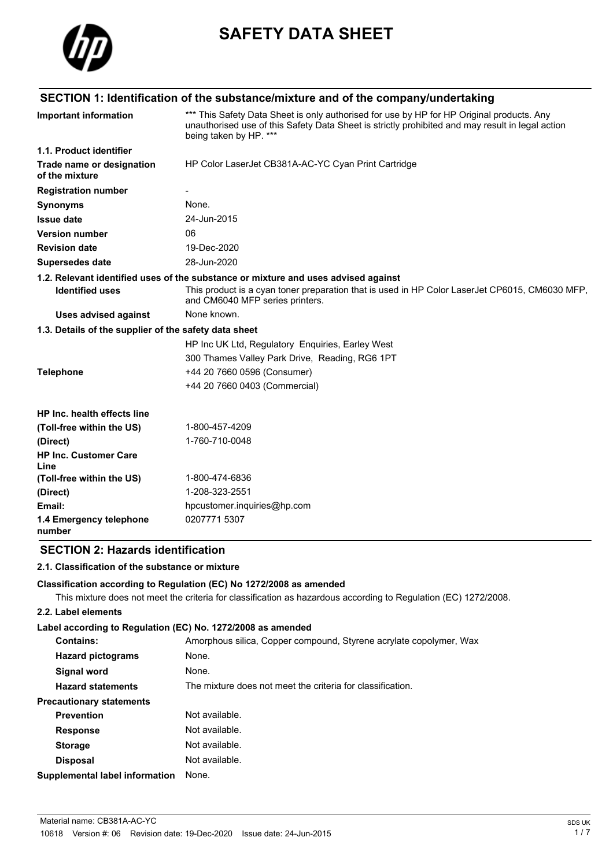

# **SAFETY DATA SHEET**

## **SECTION 1: Identification of the substance/mixture and of the company/undertaking**

| <b>Important information</b>                          | *** This Safety Data Sheet is only authorised for use by HP for HP Original products. Any<br>unauthorised use of this Safety Data Sheet is strictly prohibited and may result in legal action<br>being taken by HP. *** |
|-------------------------------------------------------|-------------------------------------------------------------------------------------------------------------------------------------------------------------------------------------------------------------------------|
| 1.1. Product identifier                               |                                                                                                                                                                                                                         |
| Trade name or designation<br>of the mixture           | HP Color LaserJet CB381A-AC-YC Cyan Print Cartridge                                                                                                                                                                     |
| <b>Registration number</b>                            |                                                                                                                                                                                                                         |
| <b>Synonyms</b>                                       | None.                                                                                                                                                                                                                   |
| <b>Issue date</b>                                     | 24-Jun-2015                                                                                                                                                                                                             |
| <b>Version number</b>                                 | 06                                                                                                                                                                                                                      |
| <b>Revision date</b>                                  | 19-Dec-2020                                                                                                                                                                                                             |
| <b>Supersedes date</b>                                | 28-Jun-2020                                                                                                                                                                                                             |
|                                                       | 1.2. Relevant identified uses of the substance or mixture and uses advised against                                                                                                                                      |
| <b>Identified uses</b>                                | This product is a cyan toner preparation that is used in HP Color LaserJet CP6015, CM6030 MFP,<br>and CM6040 MFP series printers.                                                                                       |
| <b>Uses advised against</b>                           | None known.                                                                                                                                                                                                             |
| 1.3. Details of the supplier of the safety data sheet |                                                                                                                                                                                                                         |
|                                                       | HP Inc UK Ltd, Regulatory Enquiries, Earley West                                                                                                                                                                        |
|                                                       | 300 Thames Valley Park Drive, Reading, RG6 1PT                                                                                                                                                                          |
| <b>Telephone</b>                                      | +44 20 7660 0596 (Consumer)                                                                                                                                                                                             |
|                                                       | +44 20 7660 0403 (Commercial)                                                                                                                                                                                           |
| HP Inc. health effects line                           |                                                                                                                                                                                                                         |
| (Toll-free within the US)                             | 1-800-457-4209                                                                                                                                                                                                          |
| (Direct)                                              | 1-760-710-0048                                                                                                                                                                                                          |
| <b>HP Inc. Customer Care</b><br>Line                  |                                                                                                                                                                                                                         |
| (Toll-free within the US)                             | 1-800-474-6836                                                                                                                                                                                                          |
| (Direct)                                              | 1-208-323-2551                                                                                                                                                                                                          |
| Email:                                                | hpcustomer.inquiries@hp.com                                                                                                                                                                                             |
| 1.4 Emergency telephone<br>number                     | 0207771 5307                                                                                                                                                                                                            |

## **SECTION 2: Hazards identification**

#### **2.1. Classification of the substance or mixture**

#### **Classification according to Regulation (EC) No 1272/2008 as amended**

This mixture does not meet the criteria for classification as hazardous according to Regulation (EC) 1272/2008.

### **2.2. Label elements**

#### **Label according to Regulation (EC) No. 1272/2008 as amended**

| <b>Contains:</b>                      | Amorphous silica, Copper compound, Styrene acrylate copolymer, Wax |
|---------------------------------------|--------------------------------------------------------------------|
| <b>Hazard pictograms</b>              | None.                                                              |
| <b>Signal word</b>                    | None.                                                              |
| <b>Hazard statements</b>              | The mixture does not meet the criteria for classification.         |
| <b>Precautionary statements</b>       |                                                                    |
| <b>Prevention</b>                     | Not available.                                                     |
| <b>Response</b>                       | Not available.                                                     |
| <b>Storage</b>                        | Not available.                                                     |
| <b>Disposal</b>                       | Not available.                                                     |
| <b>Supplemental label information</b> | None.                                                              |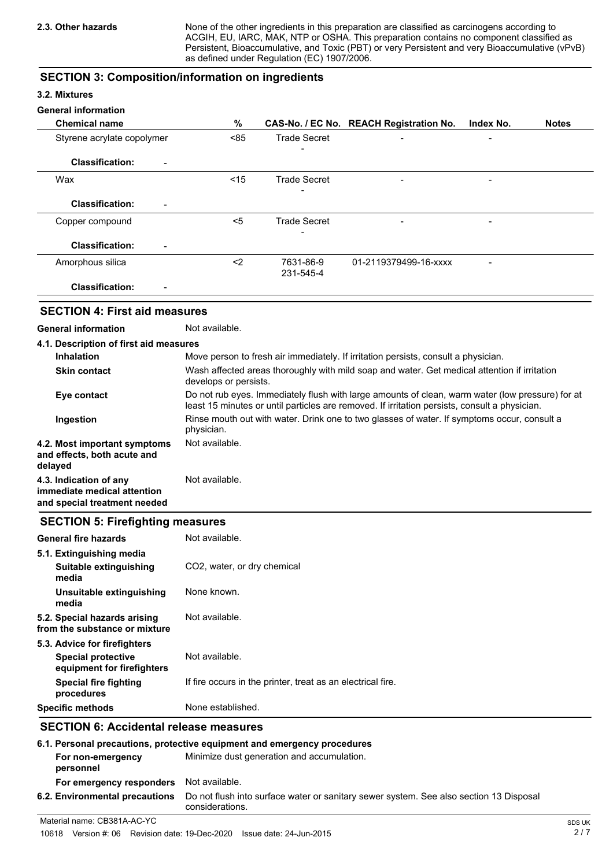None of the other ingredients in this preparation are classified as carcinogens according to ACGIH, EU, IARC, MAK, NTP or OSHA. This preparation contains no component classified as Persistent, Bioaccumulative, and Toxic (PBT) or very Persistent and very Bioaccumulative (vPvB) as defined under Regulation (EC) 1907/2006.

## **SECTION 3: Composition/information on ingredients**

#### **3.2. Mixtures**

#### **General information**

| <b>Chemical name</b>                               | %     |                        | CAS-No. / EC No. REACH Registration No. | Index No.                | <b>Notes</b> |
|----------------------------------------------------|-------|------------------------|-----------------------------------------|--------------------------|--------------|
| Styrene acrylate copolymer                         | < 85  | <b>Trade Secret</b>    | $\blacksquare$                          |                          |              |
|                                                    |       | -                      |                                         |                          |              |
| <b>Classification:</b><br>$\overline{\phantom{a}}$ |       |                        |                                         |                          |              |
| Wax                                                | < 15  | <b>Trade Secret</b>    | $\blacksquare$                          |                          |              |
| <b>Classification:</b><br>$\overline{\phantom{a}}$ |       |                        |                                         |                          |              |
| Copper compound                                    | $<$ 5 | <b>Trade Secret</b>    |                                         | $\overline{\phantom{0}}$ |              |
| <b>Classification:</b><br>$\overline{\phantom{0}}$ |       |                        |                                         |                          |              |
| Amorphous silica                                   | $2$   | 7631-86-9<br>231-545-4 | 01-2119379499-16-xxxx                   |                          |              |
| <b>Classification:</b><br>$\blacksquare$           |       |                        |                                         |                          |              |

## **SECTION 4: First aid measures**

### **General information** Not available.

| 4.1. Description of first aid measures                                                |                                                                                                                                                                                                   |
|---------------------------------------------------------------------------------------|---------------------------------------------------------------------------------------------------------------------------------------------------------------------------------------------------|
| <b>Inhalation</b>                                                                     | Move person to fresh air immediately. If irritation persists, consult a physician.                                                                                                                |
| <b>Skin contact</b>                                                                   | Wash affected areas thoroughly with mild soap and water. Get medical attention if irritation<br>develops or persists.                                                                             |
| Eye contact                                                                           | Do not rub eyes. Immediately flush with large amounts of clean, warm water (low pressure) for at<br>least 15 minutes or until particles are removed. If irritation persists, consult a physician. |
| Ingestion                                                                             | Rinse mouth out with water. Drink one to two glasses of water. If symptoms occur, consult a<br>physician.                                                                                         |
| 4.2. Most important symptoms<br>and effects, both acute and<br>delayed                | Not available.                                                                                                                                                                                    |
| 4.3. Indication of any<br>immediate medical attention<br>and special treatment needed | Not available.                                                                                                                                                                                    |

### **SECTION 5: Firefighting measures**

| <b>General fire hazards</b>                                   | Not available.                                              |
|---------------------------------------------------------------|-------------------------------------------------------------|
| 5.1. Extinguishing media                                      |                                                             |
| Suitable extinguishing<br>media                               | CO <sub>2</sub> , water, or dry chemical                    |
| Unsuitable extinguishing<br>media                             | None known.                                                 |
| 5.2. Special hazards arising<br>from the substance or mixture | Not available.                                              |
| 5.3. Advice for firefighters                                  |                                                             |
| <b>Special protective</b><br>equipment for firefighters       | Not available.                                              |
| <b>Special fire fighting</b><br>procedures                    | If fire occurs in the printer, treat as an electrical fire. |
| <b>Specific methods</b>                                       | None established.                                           |

## **SECTION 6: Accidental release measures**

| 6.1. Personal precautions, protective equipment and emergency procedures |                                                                                                           |  |
|--------------------------------------------------------------------------|-----------------------------------------------------------------------------------------------------------|--|
| For non-emergency<br>personnel                                           | Minimize dust generation and accumulation.                                                                |  |
| For emergency responders                                                 | Not available.                                                                                            |  |
| 6.2. Environmental precautions                                           | Do not flush into surface water or sanitary sewer system. See also section 13 Disposal<br>considerations. |  |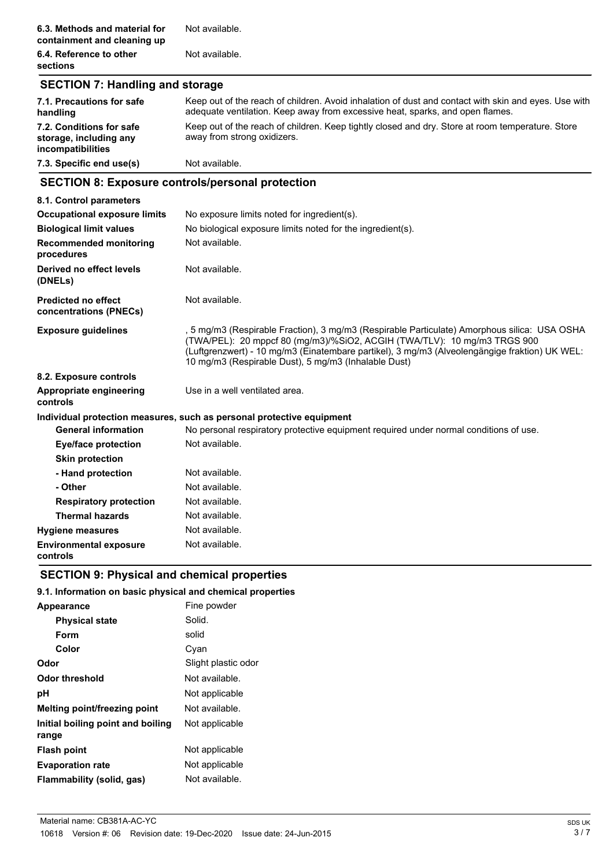**6.4. Reference to other** Not available. **sections**

## **SECTION 7: Handling and storage**

| 7.1. Precautions for safe<br>handling                                          | Keep out of the reach of children. Avoid inhalation of dust and contact with skin and eyes. Use with<br>adequate ventilation. Keep away from excessive heat, sparks, and open flames. |
|--------------------------------------------------------------------------------|---------------------------------------------------------------------------------------------------------------------------------------------------------------------------------------|
| 7.2. Conditions for safe<br>storage, including any<br><i>incompatibilities</i> | Keep out of the reach of children. Keep tightly closed and dry. Store at room temperature. Store<br>away from strong oxidizers.                                                       |
| 7.3. Specific end use(s)                                                       | Not available.                                                                                                                                                                        |

## **SECTION 8: Exposure controls/personal protection**

| 8.1. Control parameters                              |                                                                                                                                                                                                                                                                                                                                    |
|------------------------------------------------------|------------------------------------------------------------------------------------------------------------------------------------------------------------------------------------------------------------------------------------------------------------------------------------------------------------------------------------|
| <b>Occupational exposure limits</b>                  | No exposure limits noted for ingredient(s).                                                                                                                                                                                                                                                                                        |
| <b>Biological limit values</b>                       | No biological exposure limits noted for the ingredient(s).                                                                                                                                                                                                                                                                         |
| <b>Recommended monitoring</b><br>procedures          | Not available.                                                                                                                                                                                                                                                                                                                     |
| Derived no effect levels<br>(DNELs)                  | Not available.                                                                                                                                                                                                                                                                                                                     |
| <b>Predicted no effect</b><br>concentrations (PNECs) | Not available.                                                                                                                                                                                                                                                                                                                     |
| <b>Exposure guidelines</b>                           | , 5 mg/m3 (Respirable Fraction), 3 mg/m3 (Respirable Particulate) Amorphous silica:  USA OSHA<br>(TWA/PEL): 20 mppcf 80 (mg/m3)/%SiO2, ACGIH (TWA/TLV): 10 mg/m3 TRGS 900<br>(Luftgrenzwert) - 10 mg/m3 (Einatembare partikel), 3 mg/m3 (Alveolengängige fraktion) UK WEL:<br>10 mg/m3 (Respirable Dust), 5 mg/m3 (Inhalable Dust) |
| 8.2. Exposure controls                               |                                                                                                                                                                                                                                                                                                                                    |
| Appropriate engineering<br>controls                  | Use in a well ventilated area.                                                                                                                                                                                                                                                                                                     |
|                                                      | Individual protection measures, such as personal protective equipment                                                                                                                                                                                                                                                              |
| <b>General information</b>                           | No personal respiratory protective equipment required under normal conditions of use.                                                                                                                                                                                                                                              |
| <b>Eye/face protection</b>                           | Not available.                                                                                                                                                                                                                                                                                                                     |
| <b>Skin protection</b>                               |                                                                                                                                                                                                                                                                                                                                    |
| - Hand protection                                    | Not available.                                                                                                                                                                                                                                                                                                                     |
| - Other                                              | Not available.                                                                                                                                                                                                                                                                                                                     |
| <b>Respiratory protection</b>                        | Not available.                                                                                                                                                                                                                                                                                                                     |
| <b>Thermal hazards</b>                               | Not available.                                                                                                                                                                                                                                                                                                                     |
| <b>Hygiene measures</b>                              | Not available.                                                                                                                                                                                                                                                                                                                     |
| <b>Environmental exposure</b><br>controls            | Not available.                                                                                                                                                                                                                                                                                                                     |

## **SECTION 9: Physical and chemical properties**

## **9.1. Information on basic physical and chemical properties**

| Fine powder         |
|---------------------|
| Solid.              |
| solid               |
| Cyan                |
| Slight plastic odor |
| Not available.      |
| Not applicable      |
| Not available.      |
| Not applicable      |
| Not applicable      |
| Not applicable      |
| Not available.      |
|                     |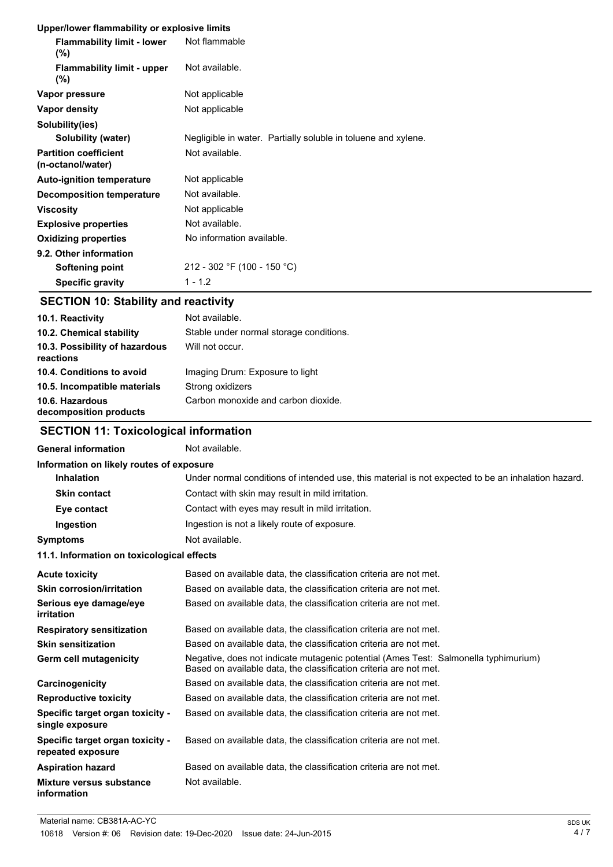#### **Upper/lower flammability or explosive limits**

| <b>ODDENTOWER HANDROMITY OF EXPIOSIVE INITIES</b> |                                                               |
|---------------------------------------------------|---------------------------------------------------------------|
| <b>Flammability limit - lower</b><br>$(\% )$      | Not flammable                                                 |
| <b>Flammability limit - upper</b><br>$(\% )$      | Not available.                                                |
| Vapor pressure                                    | Not applicable                                                |
| Vapor density                                     | Not applicable                                                |
| Solubility(ies)                                   |                                                               |
| Solubility (water)                                | Negligible in water. Partially soluble in toluene and xylene. |
| <b>Partition coefficient</b><br>(n-octanol/water) | Not available.                                                |
| <b>Auto-ignition temperature</b>                  | Not applicable                                                |
| Decomposition temperature                         | Not available.                                                |
| <b>Viscosity</b>                                  | Not applicable                                                |
| <b>Explosive properties</b>                       | Not available.                                                |
| <b>Oxidizing properties</b>                       | No information available.                                     |
| 9.2. Other information                            |                                                               |
| Softening point                                   | 212 - 302 °F (100 - 150 °C)                                   |
| <b>Specific gravity</b>                           | $1 - 1.2$                                                     |

## **SECTION 10: Stability and reactivity**

| 10.1. Reactivity                            | Not available.                          |
|---------------------------------------------|-----------------------------------------|
| 10.2. Chemical stability                    | Stable under normal storage conditions. |
| 10.3. Possibility of hazardous<br>reactions | Will not occur.                         |
| 10.4. Conditions to avoid                   | Imaging Drum: Exposure to light         |
| 10.5. Incompatible materials                | Strong oxidizers                        |
| 10.6. Hazardous<br>decomposition products   | Carbon monoxide and carbon dioxide.     |

## **SECTION 11: Toxicological information**

## General information **Not** available.

| Information on likely routes of exposure              |                                                                                                                                                          |
|-------------------------------------------------------|----------------------------------------------------------------------------------------------------------------------------------------------------------|
| <b>Inhalation</b>                                     | Under normal conditions of intended use, this material is not expected to be an inhalation hazard.                                                       |
| <b>Skin contact</b>                                   | Contact with skin may result in mild irritation.                                                                                                         |
| Eye contact                                           | Contact with eyes may result in mild irritation.                                                                                                         |
| Ingestion                                             | Ingestion is not a likely route of exposure.                                                                                                             |
| <b>Symptoms</b>                                       | Not available.                                                                                                                                           |
| 11.1. Information on toxicological effects            |                                                                                                                                                          |
| <b>Acute toxicity</b>                                 | Based on available data, the classification criteria are not met.                                                                                        |
| <b>Skin corrosion/irritation</b>                      | Based on available data, the classification criteria are not met.                                                                                        |
| Serious eye damage/eye<br>irritation                  | Based on available data, the classification criteria are not met.                                                                                        |
| <b>Respiratory sensitization</b>                      | Based on available data, the classification criteria are not met.                                                                                        |
| <b>Skin sensitization</b>                             | Based on available data, the classification criteria are not met.                                                                                        |
| Germ cell mutagenicity                                | Negative, does not indicate mutagenic potential (Ames Test: Salmonella typhimurium)<br>Based on available data, the classification criteria are not met. |
| Carcinogenicity                                       | Based on available data, the classification criteria are not met.                                                                                        |
| <b>Reproductive toxicity</b>                          | Based on available data, the classification criteria are not met.                                                                                        |
| Specific target organ toxicity -<br>single exposure   | Based on available data, the classification criteria are not met.                                                                                        |
| Specific target organ toxicity -<br>repeated exposure | Based on available data, the classification criteria are not met.                                                                                        |
| <b>Aspiration hazard</b>                              | Based on available data, the classification criteria are not met.                                                                                        |
| Mixture versus substance<br>information               | Not available.                                                                                                                                           |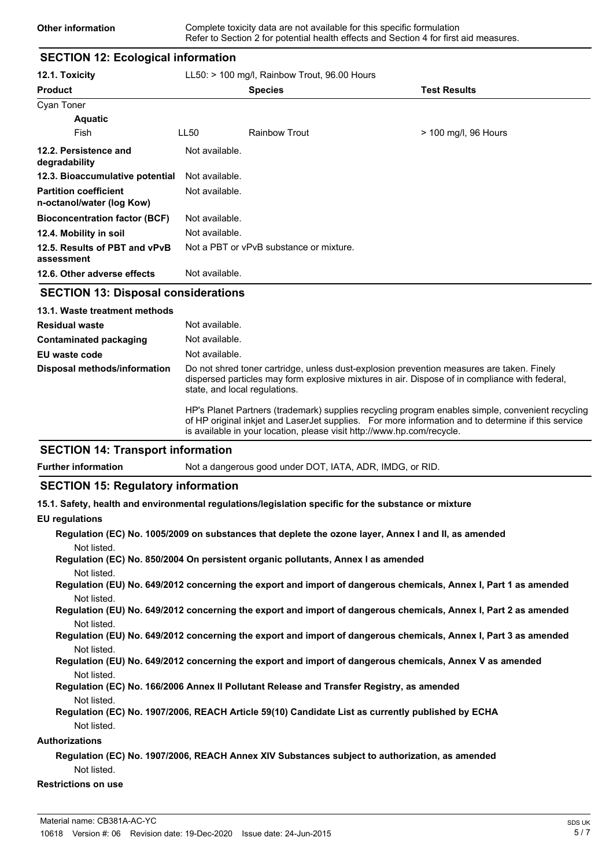## **SECTION 12: Ecological information**

| 12.1. Toxicity                                            |                                         | $LL50:$ > 100 mg/l, Rainbow Trout, 96.00 Hours |                      |  |  |
|-----------------------------------------------------------|-----------------------------------------|------------------------------------------------|----------------------|--|--|
| <b>Product</b>                                            |                                         | <b>Species</b>                                 | <b>Test Results</b>  |  |  |
| <b>Cyan Toner</b>                                         |                                         |                                                |                      |  |  |
| <b>Aquatic</b>                                            |                                         |                                                |                      |  |  |
| Fish                                                      | LL50                                    | <b>Rainbow Trout</b>                           | > 100 mg/l, 96 Hours |  |  |
| 12.2. Persistence and<br>degradability                    | Not available.                          |                                                |                      |  |  |
| 12.3. Bioaccumulative potential                           | Not available.                          |                                                |                      |  |  |
| <b>Partition coefficient</b><br>n-octanol/water (log Kow) | Not available.                          |                                                |                      |  |  |
| <b>Bioconcentration factor (BCF)</b>                      | Not available.                          |                                                |                      |  |  |
| 12.4. Mobility in soil                                    | Not available.                          |                                                |                      |  |  |
| 12.5. Results of PBT and vPvB<br>assessment               | Not a PBT or vPvB substance or mixture. |                                                |                      |  |  |
| 12.6. Other adverse effects                               | Not available.                          |                                                |                      |  |  |

## **SECTION 13: Disposal considerations**

| 13.1. Waste treatment methods |                                                                                                                                                                                                                                                                                   |
|-------------------------------|-----------------------------------------------------------------------------------------------------------------------------------------------------------------------------------------------------------------------------------------------------------------------------------|
| <b>Residual waste</b>         | Not available.                                                                                                                                                                                                                                                                    |
| <b>Contaminated packaging</b> | Not available.                                                                                                                                                                                                                                                                    |
| EU waste code                 | Not available.                                                                                                                                                                                                                                                                    |
| Disposal methods/information  | Do not shred toner cartridge, unless dust-explosion prevention measures are taken. Finely<br>dispersed particles may form explosive mixtures in air. Dispose of in compliance with federal,<br>state, and local regulations.                                                      |
|                               | HP's Planet Partners (trademark) supplies recycling program enables simple, convenient recycling<br>of HP original inkiet and Laser Jet supplies. For more information and to determine if this service<br>is available in your location, please visit http://www.hp.com/recycle. |

## **SECTION 14: Transport information**

**Further information** Not a dangerous good under DOT, IATA, ADR, IMDG, or RID.

#### **SECTION 15: Regulatory information**

**15.1. Safety, health and environmental regulations/legislation specific for the substance or mixture**

#### **EU regulations**

| Regulation (EC) No. 1005/2009 on substances that deplete the ozone layer, Annex I and II, as amended |  |  |  |  |
|------------------------------------------------------------------------------------------------------|--|--|--|--|
| Not listed.                                                                                          |  |  |  |  |
|                                                                                                      |  |  |  |  |

**Regulation (EC) No. 850/2004 On persistent organic pollutants, Annex I as amended** Not listed.

**Regulation (EU) No. 649/2012 concerning the export and import of dangerous chemicals, Annex I, Part 1 as amended** Not listed.

**Regulation (EU) No. 649/2012 concerning the export and import of dangerous chemicals, Annex I, Part 2 as amended** Not listed.

**Regulation (EU) No. 649/2012 concerning the export and import of dangerous chemicals, Annex I, Part 3 as amended** Not listed.

#### **Regulation (EU) No. 649/2012 concerning the export and import of dangerous chemicals, Annex V as amended** Not listed.

- **Regulation (EC) No. 166/2006 Annex II Pollutant Release and Transfer Registry, as amended** Not listed.
- **Regulation (EC) No. 1907/2006, REACH Article 59(10) Candidate List as currently published by ECHA** Not listed.

#### **Authorizations**

## **Regulation (EC) No. 1907/2006, REACH Annex XIV Substances subject to authorization, as amended** Not listed.

## **Restrictions on use**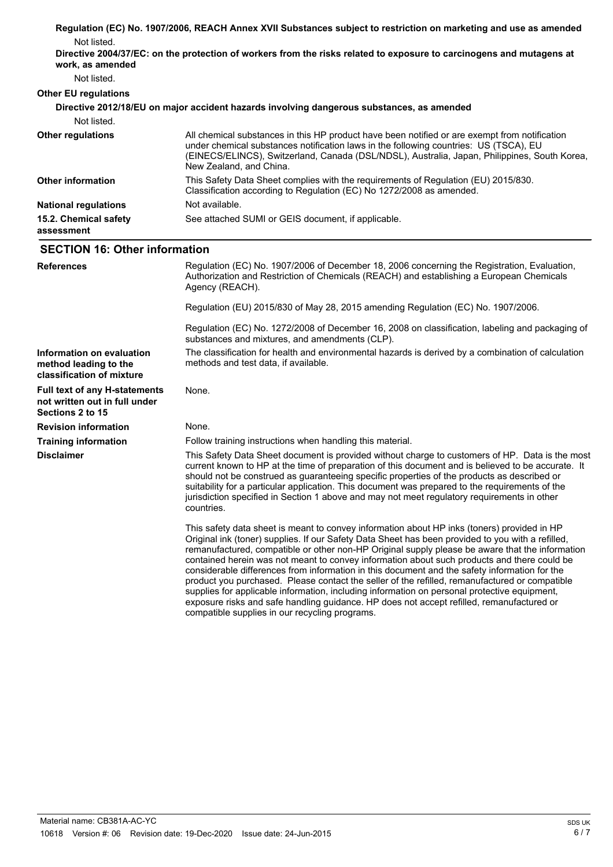|                                                                                           | Regulation (EC) No. 1907/2006, REACH Annex XVII Substances subject to restriction on marketing and use as amended                                                                                                                                                                                                                                                                                                                                                                                                                                                                                                                                                                                     |
|-------------------------------------------------------------------------------------------|-------------------------------------------------------------------------------------------------------------------------------------------------------------------------------------------------------------------------------------------------------------------------------------------------------------------------------------------------------------------------------------------------------------------------------------------------------------------------------------------------------------------------------------------------------------------------------------------------------------------------------------------------------------------------------------------------------|
| Not listed.                                                                               |                                                                                                                                                                                                                                                                                                                                                                                                                                                                                                                                                                                                                                                                                                       |
| work, as amended                                                                          | Directive 2004/37/EC: on the protection of workers from the risks related to exposure to carcinogens and mutagens at                                                                                                                                                                                                                                                                                                                                                                                                                                                                                                                                                                                  |
| Not listed.                                                                               |                                                                                                                                                                                                                                                                                                                                                                                                                                                                                                                                                                                                                                                                                                       |
| <b>Other EU regulations</b>                                                               |                                                                                                                                                                                                                                                                                                                                                                                                                                                                                                                                                                                                                                                                                                       |
|                                                                                           | Directive 2012/18/EU on major accident hazards involving dangerous substances, as amended                                                                                                                                                                                                                                                                                                                                                                                                                                                                                                                                                                                                             |
| Not listed.                                                                               |                                                                                                                                                                                                                                                                                                                                                                                                                                                                                                                                                                                                                                                                                                       |
| <b>Other regulations</b>                                                                  | All chemical substances in this HP product have been notified or are exempt from notification<br>under chemical substances notification laws in the following countries: US (TSCA), EU<br>(EINECS/ELINCS), Switzerland, Canada (DSL/NDSL), Australia, Japan, Philippines, South Korea,<br>New Zealand, and China.                                                                                                                                                                                                                                                                                                                                                                                     |
| <b>Other information</b>                                                                  | This Safety Data Sheet complies with the requirements of Regulation (EU) 2015/830.<br>Classification according to Regulation (EC) No 1272/2008 as amended.                                                                                                                                                                                                                                                                                                                                                                                                                                                                                                                                            |
| <b>National regulations</b>                                                               | Not available.                                                                                                                                                                                                                                                                                                                                                                                                                                                                                                                                                                                                                                                                                        |
| 15.2. Chemical safety<br>assessment                                                       | See attached SUMI or GEIS document, if applicable.                                                                                                                                                                                                                                                                                                                                                                                                                                                                                                                                                                                                                                                    |
| <b>SECTION 16: Other information</b>                                                      |                                                                                                                                                                                                                                                                                                                                                                                                                                                                                                                                                                                                                                                                                                       |
| <b>References</b>                                                                         | Regulation (EC) No. 1907/2006 of December 18, 2006 concerning the Registration, Evaluation,<br>Authorization and Restriction of Chemicals (REACH) and establishing a European Chemicals<br>Agency (REACH).                                                                                                                                                                                                                                                                                                                                                                                                                                                                                            |
|                                                                                           | Regulation (EU) 2015/830 of May 28, 2015 amending Regulation (EC) No. 1907/2006.                                                                                                                                                                                                                                                                                                                                                                                                                                                                                                                                                                                                                      |
|                                                                                           | Regulation (EC) No. 1272/2008 of December 16, 2008 on classification, labeling and packaging of<br>substances and mixtures, and amendments (CLP).                                                                                                                                                                                                                                                                                                                                                                                                                                                                                                                                                     |
| Information on evaluation<br>method leading to the<br>classification of mixture           | The classification for health and environmental hazards is derived by a combination of calculation<br>methods and test data, if available.                                                                                                                                                                                                                                                                                                                                                                                                                                                                                                                                                            |
| <b>Full text of any H-statements</b><br>not written out in full under<br>Sections 2 to 15 | None.                                                                                                                                                                                                                                                                                                                                                                                                                                                                                                                                                                                                                                                                                                 |
| <b>Revision information</b>                                                               | None.                                                                                                                                                                                                                                                                                                                                                                                                                                                                                                                                                                                                                                                                                                 |
| <b>Training information</b>                                                               | Follow training instructions when handling this material.                                                                                                                                                                                                                                                                                                                                                                                                                                                                                                                                                                                                                                             |
| <b>Disclaimer</b>                                                                         | This Safety Data Sheet document is provided without charge to customers of HP. Data is the most<br>current known to HP at the time of preparation of this document and is believed to be accurate. It<br>should not be construed as guaranteeing specific properties of the products as described or<br>suitability for a particular application. This document was prepared to the requirements of the<br>jurisdiction specified in Section 1 above and may not meet regulatory requirements in other<br>countries.                                                                                                                                                                                  |
|                                                                                           | This safety data sheet is meant to convey information about HP inks (toners) provided in HP<br>Original ink (toner) supplies. If our Safety Data Sheet has been provided to you with a refilled,<br>remanufactured, compatible or other non-HP Original supply please be aware that the information<br>contained herein was not meant to convey information about such products and there could be<br>considerable differences from information in this document and the safety information for the<br>product you purchased. Please contact the seller of the refilled, remanufactured or compatible<br>supplies for applicable information, including information on personal protective equipment, |

exposure risks and safe handling guidance. HP does not accept refilled, remanufactured or

compatible supplies in our recycling programs.